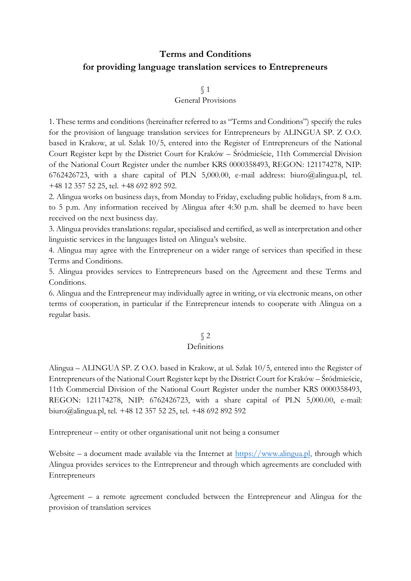# **Terms and Conditions for providing language translation services to Entrepreneurs**

§ 1

#### General Provisions

1. These terms and conditions (hereinafter referred to as "Terms and Conditions") specify the rules for the provision of language translation services for Entrepreneurs by ALINGUA SP. Z O.O. based in Krakow, at ul. Szlak 10/5, entered into the Register of Entrepreneurs of the National Court Register kept by the District Court for Kraków – Śródmieście, 11th Commercial Division of the National Court Register under the number KRS 0000358493, REGON: 121174278, NIP: 6762426723, with a share capital of PLN 5,000.00, e-mail address: biuro@alingua.pl, tel. +48 12 357 52 25, tel. +48 692 892 592.

2. Alingua works on business days, from Monday to Friday, excluding public holidays, from 8 a.m. to 5 p.m. Any information received by Alingua after 4:30 p.m. shall be deemed to have been received on the next business day.

3. Alingua provides translations: regular, specialised and certified, as well as interpretation and other linguistic services in the languages listed on Alingua's website.

4. Alingua may agree with the Entrepreneur on a wider range of services than specified in these Terms and Conditions.

5. Alingua provides services to Entrepreneurs based on the Agreement and these Terms and Conditions.

6. Alingua and the Entrepreneur may individually agree in writing, or via electronic means, on other terms of cooperation, in particular if the Entrepreneur intends to cooperate with Alingua on a regular basis.

#### § 2

#### Definitions

Alingua – ALINGUA SP. Z O.O. based in Krakow, at ul. Szlak 10/5, entered into the Register of Entrepreneurs of the National Court Register kept by the District Court for Kraków – Śródmieście, 11th Commercial Division of the National Court Register under the number KRS 0000358493, REGON: 121174278, NIP: 6762426723, with a share capital of PLN 5,000.00, e-mail: biuro@alingua.pl, tel. +48 12 357 52 25, tel. +48 692 892 592

Entrepreneur – entity or other organisational unit not being a consumer

Website – a document made available via the Internet at  $\frac{https://www.alingua.pl,}{}$  through which Alingua provides services to the Entrepreneur and through which agreements are concluded with Entrepreneurs

Agreement – a remote agreement concluded between the Entrepreneur and Alingua for the provision of translation services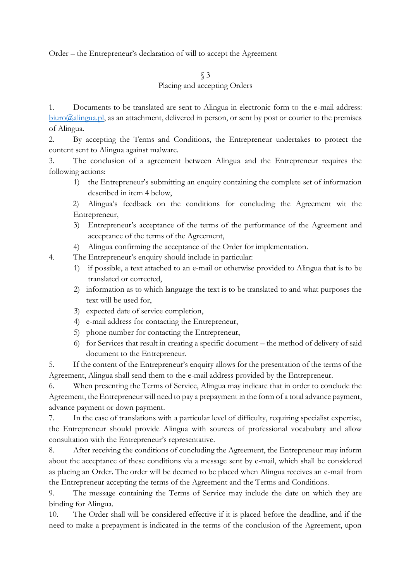Order – the Entrepreneur's declaration of will to accept the Agreement

## § 3

### Placing and accepting Orders

1. Documents to be translated are sent to Alingua in electronic form to the e-mail address:  $\frac{\text{biuro}(a)}{\text{alingua.pl}}$ , as an attachment, delivered in person, or sent by post or courier to the premises of Alingua.

2. By accepting the Terms and Conditions, the Entrepreneur undertakes to protect the content sent to Alingua against malware.

3. The conclusion of a agreement between Alingua and the Entrepreneur requires the following actions:

1) the Entrepreneur's submitting an enquiry containing the complete set of information described in item 4 below,

2) Alingua's feedback on the conditions for concluding the Agreement wit the Entrepreneur,

- 3) Entrepreneur's acceptance of the terms of the performance of the Agreement and acceptance of the terms of the Agreement,
- 4) Alingua confirming the acceptance of the Order for implementation.
- 4. The Entrepreneur's enquiry should include in particular:
	- 1) if possible, a text attached to an e-mail or otherwise provided to Alingua that is to be translated or corrected,
	- 2) information as to which language the text is to be translated to and what purposes the text will be used for,
	- 3) expected date of service completion,
	- 4) e-mail address for contacting the Entrepreneur,
	- 5) phone number for contacting the Entrepreneur,
	- 6) for Services that result in creating a specific document the method of delivery of said document to the Entrepreneur.

5. If the content of the Entrepreneur's enquiry allows for the presentation of the terms of the Agreement, Alingua shall send them to the e-mail address provided by the Entrepreneur.

6. When presenting the Terms of Service, Alingua may indicate that in order to conclude the Agreement, the Entrepreneur will need to pay a prepayment in the form of a total advance payment, advance payment or down payment.

7. In the case of translations with a particular level of difficulty, requiring specialist expertise, the Entrepreneur should provide Alingua with sources of professional vocabulary and allow consultation with the Entrepreneur's representative.

8. After receiving the conditions of concluding the Agreement, the Entrepreneur may inform about the acceptance of these conditions via a message sent by e-mail, which shall be considered as placing an Order. The order will be deemed to be placed when Alingua receives an e-mail from the Entrepreneur accepting the terms of the Agreement and the Terms and Conditions.

9. The message containing the Terms of Service may include the date on which they are binding for Alingua.

10. The Order shall will be considered effective if it is placed before the deadline, and if the need to make a prepayment is indicated in the terms of the conclusion of the Agreement, upon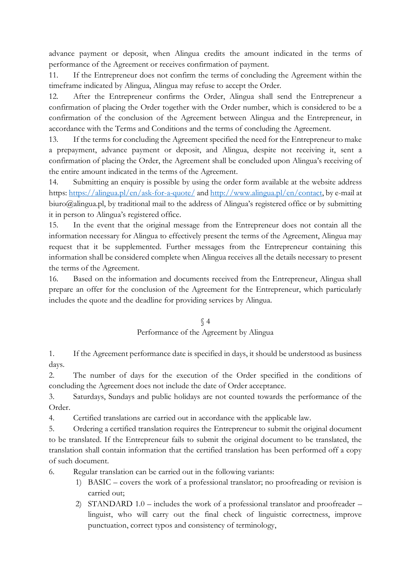advance payment or deposit, when Alingua credits the amount indicated in the terms of performance of the Agreement or receives confirmation of payment.

11. If the Entrepreneur does not confirm the terms of concluding the Agreement within the timeframe indicated by Alingua, Alingua may refuse to accept the Order.

12. After the Entrepreneur confirms the Order, Alingua shall send the Entrepreneur a confirmation of placing the Order together with the Order number, which is considered to be a confirmation of the conclusion of the Agreement between Alingua and the Entrepreneur, in accordance with the Terms and Conditions and the terms of concluding the Agreement.

13. If the terms for concluding the Agreement specified the need for the Entrepreneur to make a prepayment, advance payment or deposit, and Alingua, despite not receiving it, sent a confirmation of placing the Order, the Agreement shall be concluded upon Alingua's receiving of the entire amount indicated in the terms of the Agreement.

14. Submitting an enquiry is possible by using the order form available at the website address https[: https://alingua.pl/en/ask-for-a-quote/](https://alingua.pl/en/ask-for-a-quote/) an[d http://www.alingua.pl/en/contact,](http://www.alingua.pl/en/contact) by e-mail at biuro@alingua.pl, by traditional mail to the address of Alingua's registered office or by submitting it in person to Alingua's registered office.

15. In the event that the original message from the Entrepreneur does not contain all the information necessary for Alingua to effectively present the terms of the Agreement, Alingua may request that it be supplemented. Further messages from the Entrepreneur containing this information shall be considered complete when Alingua receives all the details necessary to present the terms of the Agreement.

16. Based on the information and documents received from the Entrepreneur, Alingua shall prepare an offer for the conclusion of the Agreement for the Entrepreneur, which particularly includes the quote and the deadline for providing services by Alingua.

## § 4 Performance of the Agreement by Alingua

1. If the Agreement performance date is specified in days, it should be understood as business days.

2. The number of days for the execution of the Order specified in the conditions of concluding the Agreement does not include the date of Order acceptance.

3. Saturdays, Sundays and public holidays are not counted towards the performance of the Order.

4. Certified translations are carried out in accordance with the applicable law.

5. Ordering a certified translation requires the Entrepreneur to submit the original document to be translated. If the Entrepreneur fails to submit the original document to be translated, the translation shall contain information that the certified translation has been performed off a copy of such document.

6. Regular translation can be carried out in the following variants:

- 1) BASIC covers the work of a professional translator; no proofreading or revision is carried out;
- 2) STANDARD 1.0 includes the work of a professional translator and proofreader linguist, who will carry out the final check of linguistic correctness, improve punctuation, correct typos and consistency of terminology,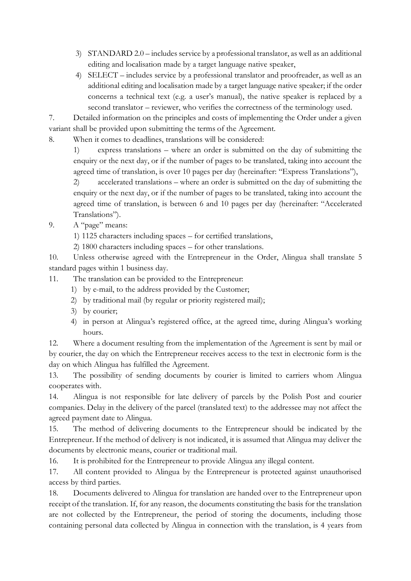- 3) STANDARD 2.0 includes service by a professional translator, as well as an additional editing and localisation made by a target language native speaker,
- 4) SELECT includes service by a professional translator and proofreader, as well as an additional editing and localisation made by a target language native speaker; if the order concerns a technical text (e.g. a user's manual), the native speaker is replaced by a second translator – reviewer, who verifies the correctness of the terminology used.

7. Detailed information on the principles and costs of implementing the Order under a given variant shall be provided upon submitting the terms of the Agreement.

8. When it comes to deadlines, translations will be considered:

1) express translations – where an order is submitted on the day of submitting the enquiry or the next day, or if the number of pages to be translated, taking into account the agreed time of translation, is over 10 pages per day (hereinafter: "Express Translations"),

2) accelerated translations – where an order is submitted on the day of submitting the enquiry or the next day, or if the number of pages to be translated, taking into account the agreed time of translation, is between 6 and 10 pages per day (hereinafter: "Accelerated Translations").

9. A "page" means:

1) 1125 characters including spaces – for certified translations,

2) 1800 characters including spaces – for other translations.

10. Unless otherwise agreed with the Entrepreneur in the Order, Alingua shall translate 5 standard pages within 1 business day.

11. The translation can be provided to the Entrepreneur:

- 1) by e-mail, to the address provided by the Customer;
- 2) by traditional mail (by regular or priority registered mail);
- 3) by courier;
- 4) in person at Alingua's registered office, at the agreed time, during Alingua's working hours.

12. Where a document resulting from the implementation of the Agreement is sent by mail or by courier, the day on which the Entrepreneur receives access to the text in electronic form is the day on which Alingua has fulfilled the Agreement.

13. The possibility of sending documents by courier is limited to carriers whom Alingua cooperates with.

14. Alingua is not responsible for late delivery of parcels by the Polish Post and courier companies. Delay in the delivery of the parcel (translated text) to the addressee may not affect the agreed payment date to Alingua.

15. The method of delivering documents to the Entrepreneur should be indicated by the Entrepreneur. If the method of delivery is not indicated, it is assumed that Alingua may deliver the documents by electronic means, courier or traditional mail.

16. It is prohibited for the Entrepreneur to provide Alingua any illegal content.

17. All content provided to Alingua by the Entrepreneur is protected against unauthorised access by third parties.

18. Documents delivered to Alingua for translation are handed over to the Entrepreneur upon receipt of the translation. If, for any reason, the documents constituting the basis for the translation are not collected by the Entrepreneur, the period of storing the documents, including those containing personal data collected by Alingua in connection with the translation, is 4 years from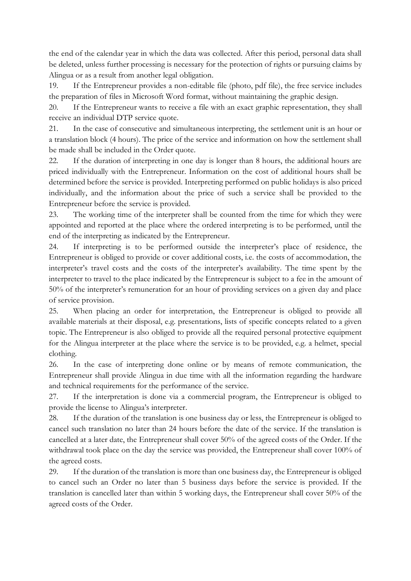the end of the calendar year in which the data was collected. After this period, personal data shall be deleted, unless further processing is necessary for the protection of rights or pursuing claims by Alingua or as a result from another legal obligation.

19. If the Entrepreneur provides a non-editable file (photo, pdf file), the free service includes the preparation of files in Microsoft Word format, without maintaining the graphic design.

20. If the Entrepreneur wants to receive a file with an exact graphic representation, they shall receive an individual DTP service quote.

21. In the case of consecutive and simultaneous interpreting, the settlement unit is an hour or a translation block (4 hours). The price of the service and information on how the settlement shall be made shall be included in the Order quote.

22. If the duration of interpreting in one day is longer than 8 hours, the additional hours are priced individually with the Entrepreneur. Information on the cost of additional hours shall be determined before the service is provided. Interpreting performed on public holidays is also priced individually, and the information about the price of such a service shall be provided to the Entrepreneur before the service is provided.

23. The working time of the interpreter shall be counted from the time for which they were appointed and reported at the place where the ordered interpreting is to be performed, until the end of the interpreting as indicated by the Entrepreneur.

24. If interpreting is to be performed outside the interpreter's place of residence, the Entrepreneur is obliged to provide or cover additional costs, i.e. the costs of accommodation, the interpreter's travel costs and the costs of the interpreter's availability. The time spent by the interpreter to travel to the place indicated by the Entrepreneur is subject to a fee in the amount of 50% of the interpreter's remuneration for an hour of providing services on a given day and place of service provision.

25. When placing an order for interpretation, the Entrepreneur is obliged to provide all available materials at their disposal, e.g. presentations, lists of specific concepts related to a given topic. The Entrepreneur is also obliged to provide all the required personal protective equipment for the Alingua interpreter at the place where the service is to be provided, e.g. a helmet, special clothing.

26. In the case of interpreting done online or by means of remote communication, the Entrepreneur shall provide Alingua in due time with all the information regarding the hardware and technical requirements for the performance of the service.

27. If the interpretation is done via a commercial program, the Entrepreneur is obliged to provide the license to Alingua's interpreter.

28. If the duration of the translation is one business day or less, the Entrepreneur is obliged to cancel such translation no later than 24 hours before the date of the service. If the translation is cancelled at a later date, the Entrepreneur shall cover 50% of the agreed costs of the Order. If the withdrawal took place on the day the service was provided, the Entrepreneur shall cover 100% of the agreed costs.

29. If the duration of the translation is more than one business day, the Entrepreneur is obliged to cancel such an Order no later than 5 business days before the service is provided. If the translation is cancelled later than within 5 working days, the Entrepreneur shall cover 50% of the agreed costs of the Order.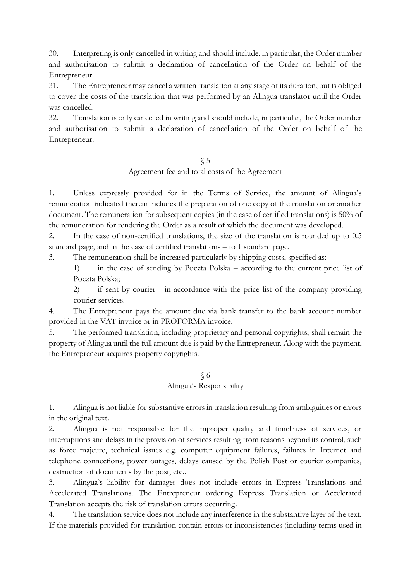30. Interpreting is only cancelled in writing and should include, in particular, the Order number and authorisation to submit a declaration of cancellation of the Order on behalf of the Entrepreneur.

31. The Entrepreneur may cancel a written translation at any stage of its duration, but is obliged to cover the costs of the translation that was performed by an Alingua translator until the Order was cancelled.

32. Translation is only cancelled in writing and should include, in particular, the Order number and authorisation to submit a declaration of cancellation of the Order on behalf of the Entrepreneur.

> § 5 Agreement fee and total costs of the Agreement

1. Unless expressly provided for in the Terms of Service, the amount of Alingua's remuneration indicated therein includes the preparation of one copy of the translation or another document. The remuneration for subsequent copies (in the case of certified translations) is 50% of the remuneration for rendering the Order as a result of which the document was developed.

2. In the case of non-certified translations, the size of the translation is rounded up to 0.5 standard page, and in the case of certified translations – to 1 standard page.

3. The remuneration shall be increased particularly by shipping costs, specified as:

1) in the case of sending by Poczta Polska – according to the current price list of Poczta Polska;

2) if sent by courier - in accordance with the price list of the company providing courier services.

4. The Entrepreneur pays the amount due via bank transfer to the bank account number provided in the VAT invoice or in PROFORMA invoice.

5. The performed translation, including proprietary and personal copyrights, shall remain the property of Alingua until the full amount due is paid by the Entrepreneur. Along with the payment, the Entrepreneur acquires property copyrights.

#### § 6 Alingua's Responsibility

1. Alingua is not liable for substantive errors in translation resulting from ambiguities or errors in the original text.

2. Alingua is not responsible for the improper quality and timeliness of services, or interruptions and delays in the provision of services resulting from reasons beyond its control, such as force majeure, technical issues e.g. computer equipment failures, failures in Internet and telephone connections, power outages, delays caused by the Polish Post or courier companies, destruction of documents by the post, etc..

3. Alingua's liability for damages does not include errors in Express Translations and Accelerated Translations. The Entrepreneur ordering Express Translation or Accelerated Translation accepts the risk of translation errors occurring.

4. The translation service does not include any interference in the substantive layer of the text. If the materials provided for translation contain errors or inconsistencies (including terms used in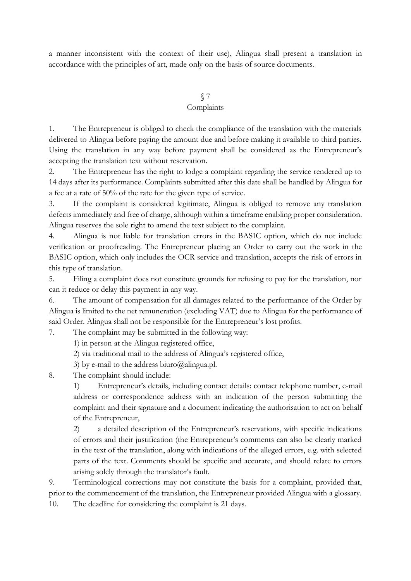a manner inconsistent with the context of their use), Alingua shall present a translation in accordance with the principles of art, made only on the basis of source documents.

## § 7

#### **Complaints**

1. The Entrepreneur is obliged to check the compliance of the translation with the materials delivered to Alingua before paying the amount due and before making it available to third parties. Using the translation in any way before payment shall be considered as the Entrepreneur's accepting the translation text without reservation.

2. The Entrepreneur has the right to lodge a complaint regarding the service rendered up to 14 days after its performance. Complaints submitted after this date shall be handled by Alingua for a fee at a rate of 50% of the rate for the given type of service.

3. If the complaint is considered legitimate, Alingua is obliged to remove any translation defects immediately and free of charge, although within a timeframe enabling proper consideration. Alingua reserves the sole right to amend the text subject to the complaint.

4. Alingua is not liable for translation errors in the BASIC option, which do not include verification or proofreading. The Entrepreneur placing an Order to carry out the work in the BASIC option, which only includes the OCR service and translation, accepts the risk of errors in this type of translation.

5. Filing a complaint does not constitute grounds for refusing to pay for the translation, nor can it reduce or delay this payment in any way.

6. The amount of compensation for all damages related to the performance of the Order by Alingua is limited to the net remuneration (excluding VAT) due to Alingua for the performance of said Order. Alingua shall not be responsible for the Entrepreneur's lost profits.

7. The complaint may be submitted in the following way:

1) in person at the Alingua registered office,

2) via traditional mail to the address of Alingua's registered office,

3) by e-mail to the address biuro@alingua.pl.

8. The complaint should include:

1) Entrepreneur's details, including contact details: contact telephone number, e-mail address or correspondence address with an indication of the person submitting the complaint and their signature and a document indicating the authorisation to act on behalf of the Entrepreneur,

2) a detailed description of the Entrepreneur's reservations, with specific indications of errors and their justification (the Entrepreneur's comments can also be clearly marked in the text of the translation, along with indications of the alleged errors, e.g. with selected parts of the text. Comments should be specific and accurate, and should relate to errors arising solely through the translator's fault.

9. Terminological corrections may not constitute the basis for a complaint, provided that, prior to the commencement of the translation, the Entrepreneur provided Alingua with a glossary.

10. The deadline for considering the complaint is 21 days.